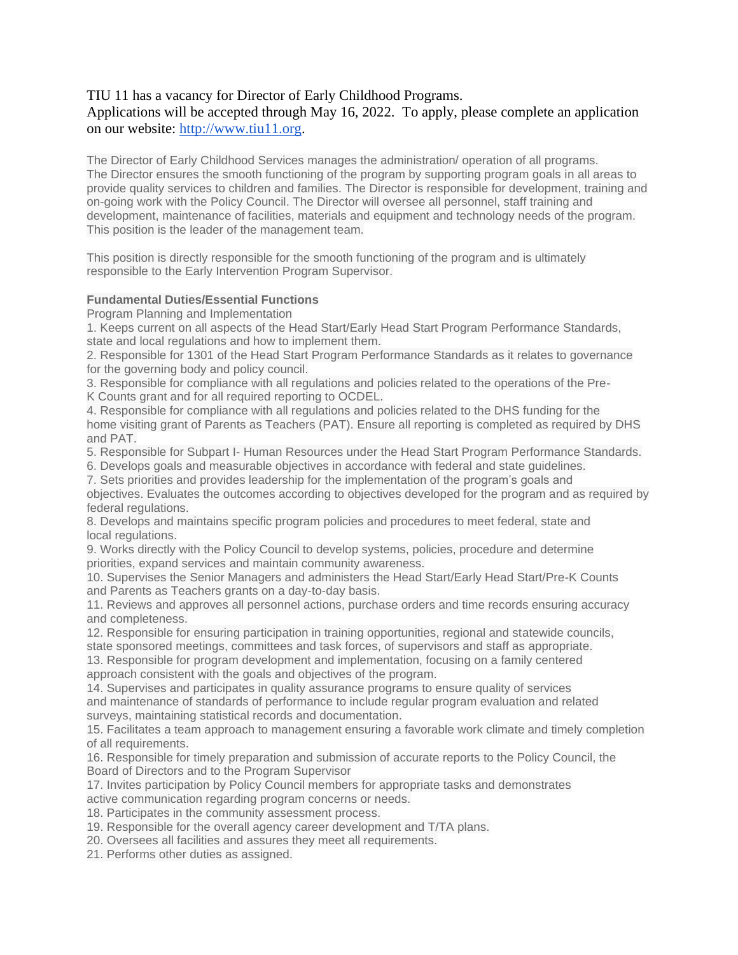# TIU 11 has a vacancy for Director of Early Childhood Programs.

Applications will be accepted through May 16, 2022. To apply, please complete an application on our website: [http://www.tiu11.org.](http://www.tiu11.org/)

The Director of Early Childhood Services manages the administration/ operation of all programs. The Director ensures the smooth functioning of the program by supporting program goals in all areas to provide quality services to children and families. The Director is responsible for development, training and on-going work with the Policy Council. The Director will oversee all personnel, staff training and development, maintenance of facilities, materials and equipment and technology needs of the program. This position is the leader of the management team.

This position is directly responsible for the smooth functioning of the program and is ultimately responsible to the Early Intervention Program Supervisor.

# **Fundamental Duties/Essential Functions**

Program Planning and Implementation

1. Keeps current on all aspects of the Head Start/Early Head Start Program Performance Standards, state and local regulations and how to implement them.

2. Responsible for 1301 of the Head Start Program Performance Standards as it relates to governance for the governing body and policy council.

3. Responsible for compliance with all regulations and policies related to the operations of the Pre-K Counts grant and for all required reporting to OCDEL.

4. Responsible for compliance with all regulations and policies related to the DHS funding for the home visiting grant of Parents as Teachers (PAT). Ensure all reporting is completed as required by DHS and PAT.

5. Responsible for Subpart I- Human Resources under the Head Start Program Performance Standards.

6. Develops goals and measurable objectives in accordance with federal and state guidelines.

7. Sets priorities and provides leadership for the implementation of the program's goals and objectives. Evaluates the outcomes according to objectives developed for the program and as required by federal regulations.

8. Develops and maintains specific program policies and procedures to meet federal, state and local regulations.

9. Works directly with the Policy Council to develop systems, policies, procedure and determine priorities, expand services and maintain community awareness.

10. Supervises the Senior Managers and administers the Head Start/Early Head Start/Pre-K Counts and Parents as Teachers grants on a day-to-day basis.

11. Reviews and approves all personnel actions, purchase orders and time records ensuring accuracy and completeness.

12. Responsible for ensuring participation in training opportunities, regional and statewide councils, state sponsored meetings, committees and task forces, of supervisors and staff as appropriate.

13. Responsible for program development and implementation, focusing on a family centered approach consistent with the goals and objectives of the program.

14. Supervises and participates in quality assurance programs to ensure quality of services and maintenance of standards of performance to include regular program evaluation and related surveys, maintaining statistical records and documentation.

15. Facilitates a team approach to management ensuring a favorable work climate and timely completion of all requirements.

16. Responsible for timely preparation and submission of accurate reports to the Policy Council, the Board of Directors and to the Program Supervisor

17. Invites participation by Policy Council members for appropriate tasks and demonstrates active communication regarding program concerns or needs.

18. Participates in the community assessment process.

19. Responsible for the overall agency career development and T/TA plans.

20. Oversees all facilities and assures they meet all requirements.

21. Performs other duties as assigned.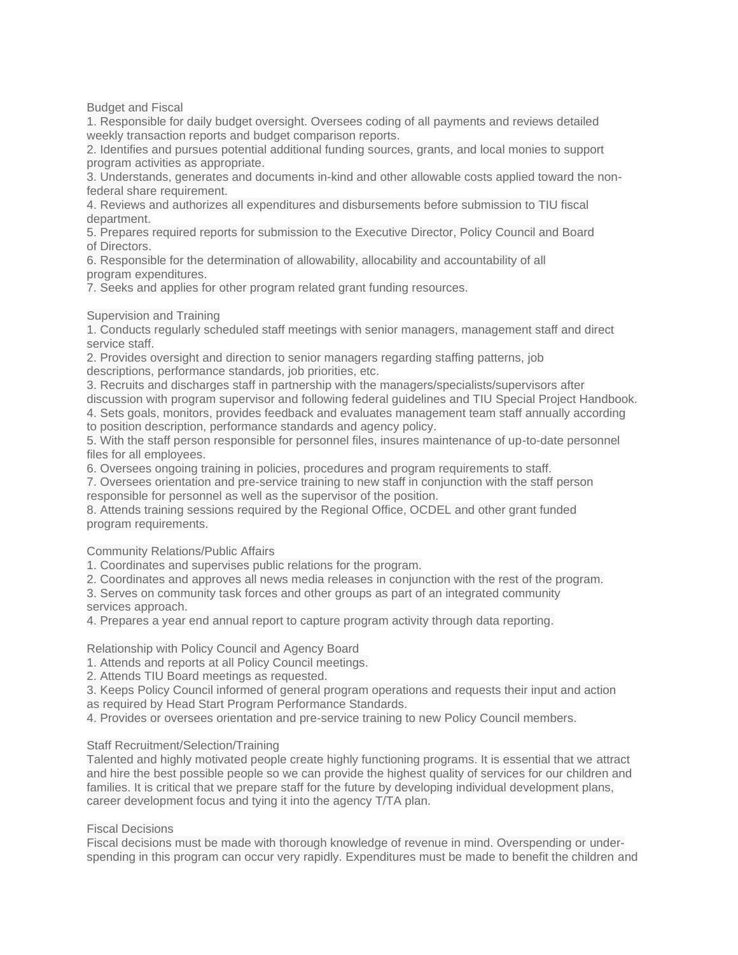Budget and Fiscal

1. Responsible for daily budget oversight. Oversees coding of all payments and reviews detailed weekly transaction reports and budget comparison reports.

2. Identifies and pursues potential additional funding sources, grants, and local monies to support program activities as appropriate.

3. Understands, generates and documents in-kind and other allowable costs applied toward the nonfederal share requirement.

4. Reviews and authorizes all expenditures and disbursements before submission to TIU fiscal department.

5. Prepares required reports for submission to the Executive Director, Policy Council and Board of Directors.

6. Responsible for the determination of allowability, allocability and accountability of all program expenditures.

7. Seeks and applies for other program related grant funding resources.

### Supervision and Training

1. Conducts regularly scheduled staff meetings with senior managers, management staff and direct service staff.

2. Provides oversight and direction to senior managers regarding staffing patterns, job descriptions, performance standards, job priorities, etc.

3. Recruits and discharges staff in partnership with the managers/specialists/supervisors after discussion with program supervisor and following federal guidelines and TIU Special Project Handbook. 4. Sets goals, monitors, provides feedback and evaluates management team staff annually according

to position description, performance standards and agency policy.

5. With the staff person responsible for personnel files, insures maintenance of up-to-date personnel files for all employees.

6. Oversees ongoing training in policies, procedures and program requirements to staff.

7. Oversees orientation and pre-service training to new staff in conjunction with the staff person responsible for personnel as well as the supervisor of the position.

8. Attends training sessions required by the Regional Office, OCDEL and other grant funded program requirements.

### Community Relations/Public Affairs

1. Coordinates and supervises public relations for the program.

2. Coordinates and approves all news media releases in conjunction with the rest of the program.

3. Serves on community task forces and other groups as part of an integrated community services approach.

4. Prepares a year end annual report to capture program activity through data reporting.

Relationship with Policy Council and Agency Board

1. Attends and reports at all Policy Council meetings.

2. Attends TIU Board meetings as requested.

3. Keeps Policy Council informed of general program operations and requests their input and action as required by Head Start Program Performance Standards.

4. Provides or oversees orientation and pre-service training to new Policy Council members.

### Staff Recruitment/Selection/Training

Talented and highly motivated people create highly functioning programs. It is essential that we attract and hire the best possible people so we can provide the highest quality of services for our children and families. It is critical that we prepare staff for the future by developing individual development plans, career development focus and tying it into the agency T/TA plan.

# Fiscal Decisions

Fiscal decisions must be made with thorough knowledge of revenue in mind. Overspending or underspending in this program can occur very rapidly. Expenditures must be made to benefit the children and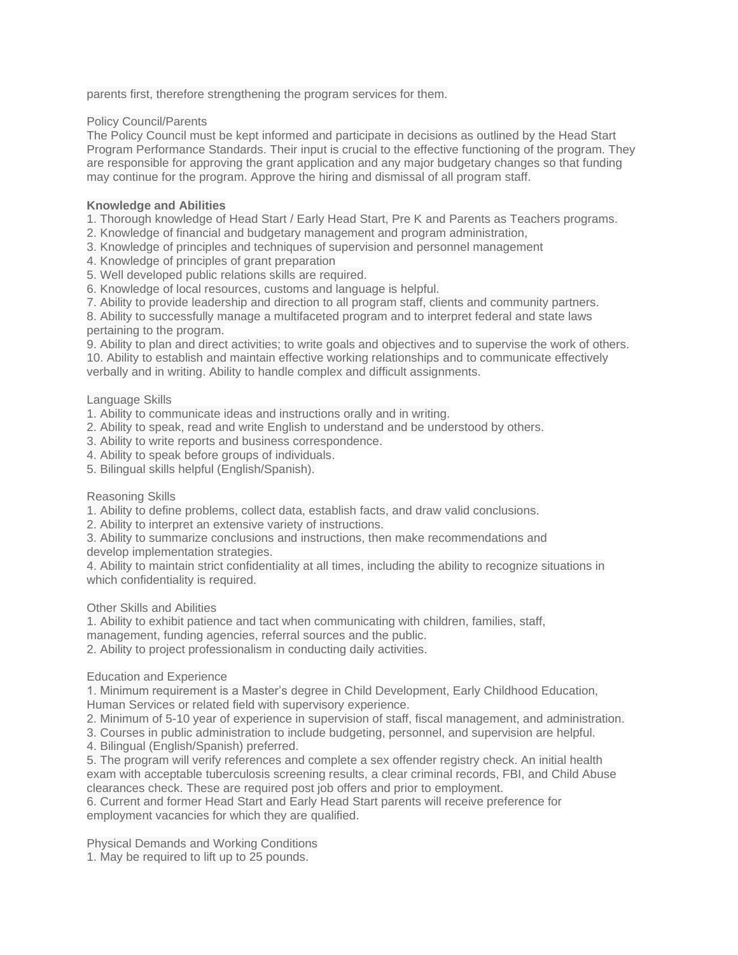parents first, therefore strengthening the program services for them.

# Policy Council/Parents

The Policy Council must be kept informed and participate in decisions as outlined by the Head Start Program Performance Standards. Their input is crucial to the effective functioning of the program. They are responsible for approving the grant application and any major budgetary changes so that funding may continue for the program. Approve the hiring and dismissal of all program staff.

# **Knowledge and Abilities**

1. Thorough knowledge of Head Start / Early Head Start, Pre K and Parents as Teachers programs.

- 2. Knowledge of financial and budgetary management and program administration,
- 3. Knowledge of principles and techniques of supervision and personnel management
- 4. Knowledge of principles of grant preparation
- 5. Well developed public relations skills are required.
- 6. Knowledge of local resources, customs and language is helpful.
- 7. Ability to provide leadership and direction to all program staff, clients and community partners.

8. Ability to successfully manage a multifaceted program and to interpret federal and state laws pertaining to the program.

9. Ability to plan and direct activities; to write goals and objectives and to supervise the work of others. 10. Ability to establish and maintain effective working relationships and to communicate effectively verbally and in writing. Ability to handle complex and difficult assignments.

# Language Skills

- 1. Ability to communicate ideas and instructions orally and in writing.
- 2. Ability to speak, read and write English to understand and be understood by others.
- 3. Ability to write reports and business correspondence.
- 4. Ability to speak before groups of individuals.
- 5. Bilingual skills helpful (English/Spanish).

### Reasoning Skills

1. Ability to define problems, collect data, establish facts, and draw valid conclusions.

2. Ability to interpret an extensive variety of instructions.

3. Ability to summarize conclusions and instructions, then make recommendations and

develop implementation strategies.

4. Ability to maintain strict confidentiality at all times, including the ability to recognize situations in which confidentiality is required.

### Other Skills and Abilities

1. Ability to exhibit patience and tact when communicating with children, families, staff,

management, funding agencies, referral sources and the public.

2. Ability to project professionalism in conducting daily activities.

### Education and Experience

1. Minimum requirement is a Master's degree in Child Development, Early Childhood Education, Human Services or related field with supervisory experience.

2. Minimum of 5-10 year of experience in supervision of staff, fiscal management, and administration.

3. Courses in public administration to include budgeting, personnel, and supervision are helpful.

4. Bilingual (English/Spanish) preferred.

5. The program will verify references and complete a sex offender registry check. An initial health exam with acceptable tuberculosis screening results, a clear criminal records, FBI, and Child Abuse clearances check. These are required post job offers and prior to employment.

6. Current and former Head Start and Early Head Start parents will receive preference for employment vacancies for which they are qualified.

Physical Demands and Working Conditions 1. May be required to lift up to 25 pounds.